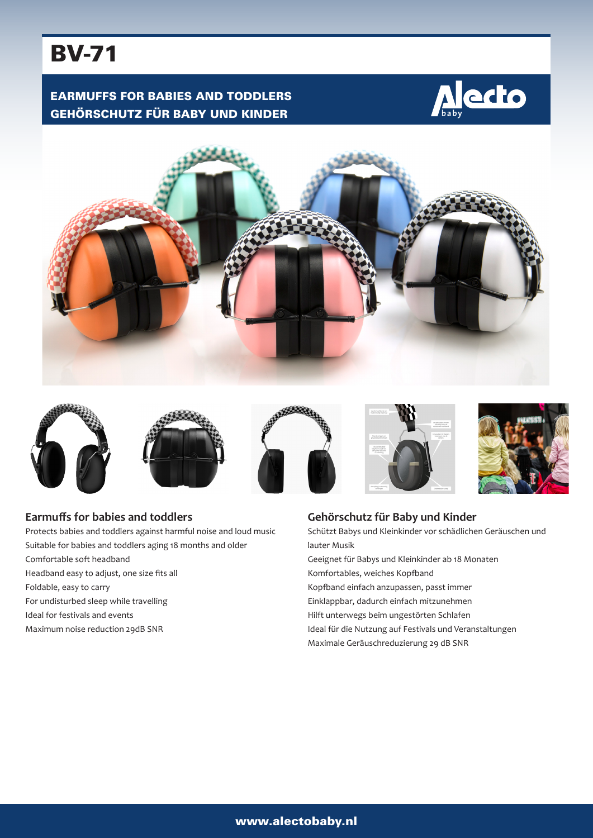# BV-71

# EARMUFFS FOR BABIES AND TODDLERS GEHÖRSCHUTZ FÜR BABY UND KINDER















## **Earmuffs for babies and toddlers**

Protects babies and toddlers against harmful noise and loud music Suitable for babies and toddlers aging 18 months and older Comfortable soft headband Headband easy to adjust, one size fits all Foldable, easy to carry For undisturbed sleep while travelling Ideal for festivals and events Maximum noise reduction 29dB SNR

# **Gehörschutz für Baby und Kinder**

Schützt Babys und Kleinkinder vor schädlichen Geräuschen und lauter Musik

- Geeignet für Babys und Kleinkinder ab 18 Monaten Komfortables, weiches Kopfband
- Kopfband einfach anzupassen, passt immer
- Einklappbar, dadurch einfach mitzunehmen
- Hilft unterwegs beim ungestörten Schlafen
- Ideal für die Nutzung auf Festivals und Veranstaltungen
- Maximale Geräuschreduzierung 29 dB SNR